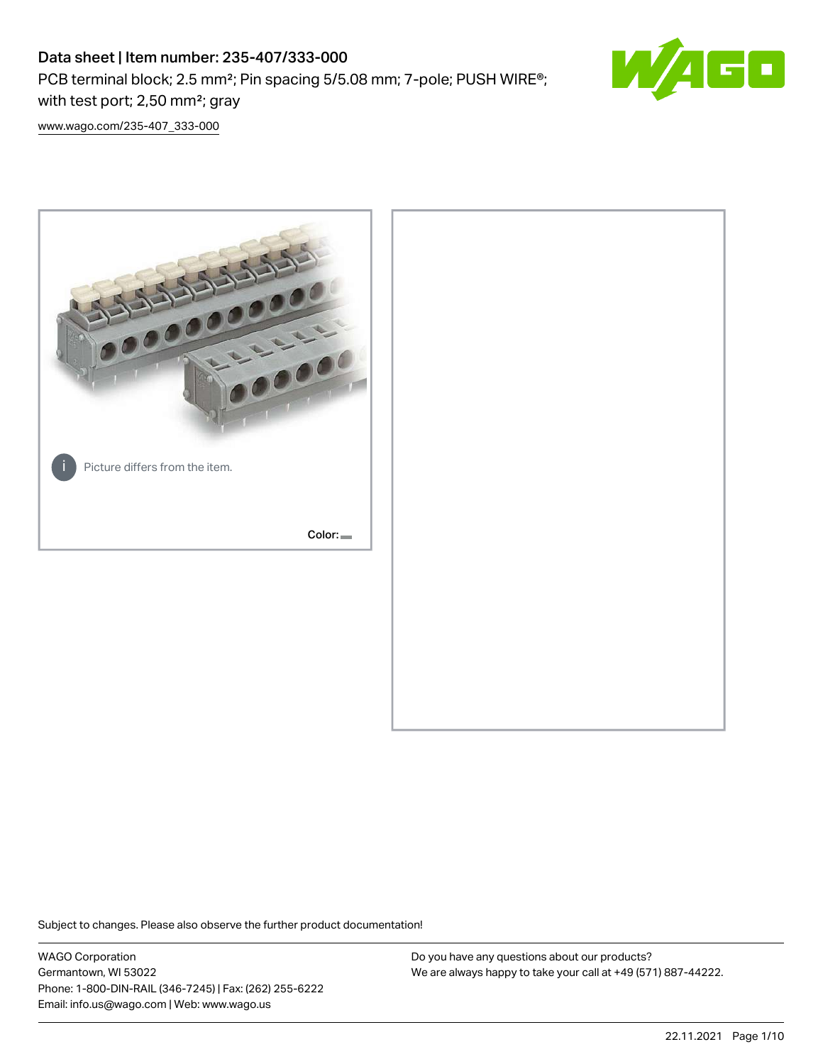PCB terminal block; 2.5 mm²; Pin spacing 5/5.08 mm; 7-pole; PUSH WIRE®; with test port; 2,50 mm²; gray



[www.wago.com/235-407\\_333-000](http://www.wago.com/235-407_333-000)



Subject to changes. Please also observe the further product documentation!

WAGO Corporation Germantown, WI 53022 Phone: 1-800-DIN-RAIL (346-7245) | Fax: (262) 255-6222 Email: info.us@wago.com | Web: www.wago.us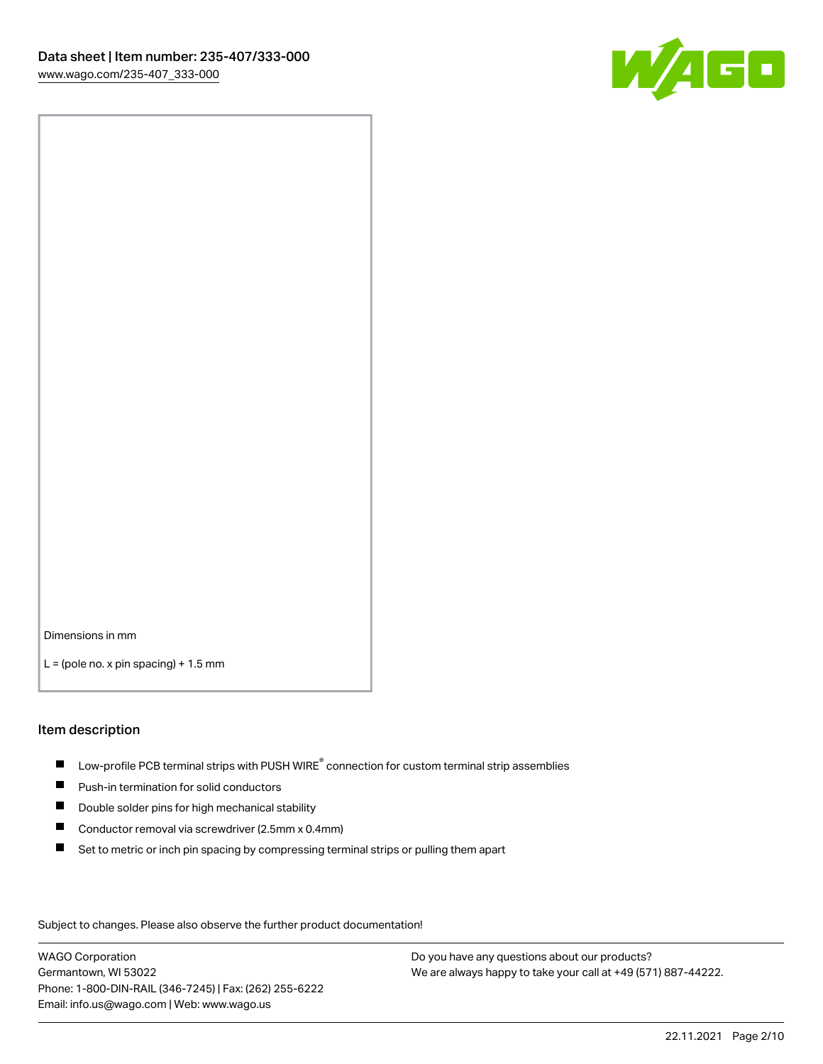

Dimensions in mm

 $L =$  (pole no. x pin spacing) + 1.5 mm

#### Item description

- $\blacksquare$  Low-profile PCB terminal strips with PUSH WIRE<sup>®</sup> connection for custom terminal strip assemblies
- **Push-in termination for solid conductors**
- $\blacksquare$ Double solder pins for high mechanical stability
- $\blacksquare$ Conductor removal via screwdriver (2.5mm x 0.4mm)
- $\blacksquare$ Set to metric or inch pin spacing by compressing terminal strips or pulling them apart

Subject to changes. Please also observe the further product documentation!

WAGO Corporation Germantown, WI 53022 Phone: 1-800-DIN-RAIL (346-7245) | Fax: (262) 255-6222 Email: info.us@wago.com | Web: www.wago.us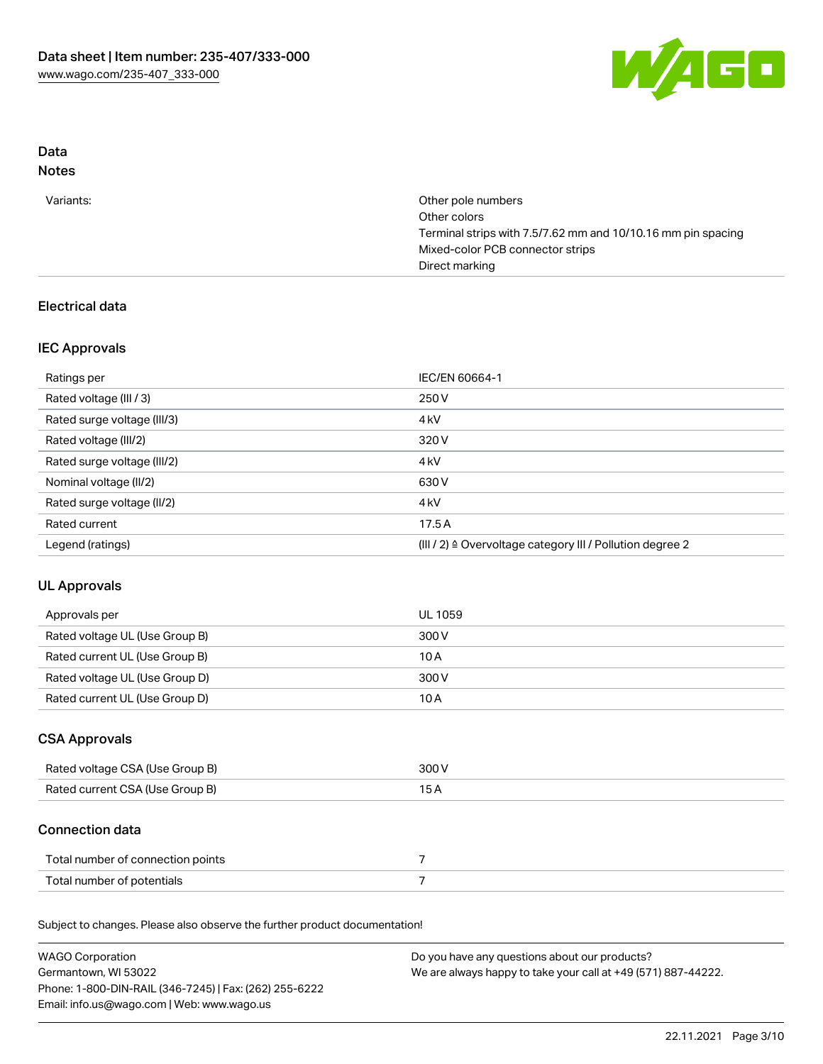

# Data

# Notes

| Other pole numbers                                           |
|--------------------------------------------------------------|
| Other colors                                                 |
| Terminal strips with 7.5/7.62 mm and 10/10.16 mm pin spacing |
| Mixed-color PCB connector strips                             |
| Direct marking                                               |
|                                                              |

## Electrical data

### IEC Approvals

| Ratings per                 | IEC/EN 60664-1                                            |
|-----------------------------|-----------------------------------------------------------|
| Rated voltage (III / 3)     | 250 V                                                     |
| Rated surge voltage (III/3) | 4 <sub>k</sub> V                                          |
| Rated voltage (III/2)       | 320 V                                                     |
| Rated surge voltage (III/2) | 4 <sub>k</sub> V                                          |
| Nominal voltage (II/2)      | 630 V                                                     |
| Rated surge voltage (II/2)  | 4 <sub>k</sub> V                                          |
| Rated current               | 17.5A                                                     |
| Legend (ratings)            | (III / 2) ≙ Overvoltage category III / Pollution degree 2 |

# UL Approvals

| Approvals per                  | UL 1059 |
|--------------------------------|---------|
| Rated voltage UL (Use Group B) | 300 V   |
| Rated current UL (Use Group B) | 10 A    |
| Rated voltage UL (Use Group D) | 300 V   |
| Rated current UL (Use Group D) | 10 A    |

### CSA Approvals

| Rated voltage CSA (Use Group B) | 300 V |
|---------------------------------|-------|
| Rated current CSA (Use Group B) |       |

### Connection data

| Total number of connection points |  |
|-----------------------------------|--|
| Total number of potentials        |  |

Subject to changes. Please also observe the further product documentation!

| <b>WAGO Corporation</b>                                | Do you have any questions about our products?                 |
|--------------------------------------------------------|---------------------------------------------------------------|
| Germantown, WI 53022                                   | We are always happy to take your call at +49 (571) 887-44222. |
| Phone: 1-800-DIN-RAIL (346-7245)   Fax: (262) 255-6222 |                                                               |
| Email: info.us@wago.com   Web: www.wago.us             |                                                               |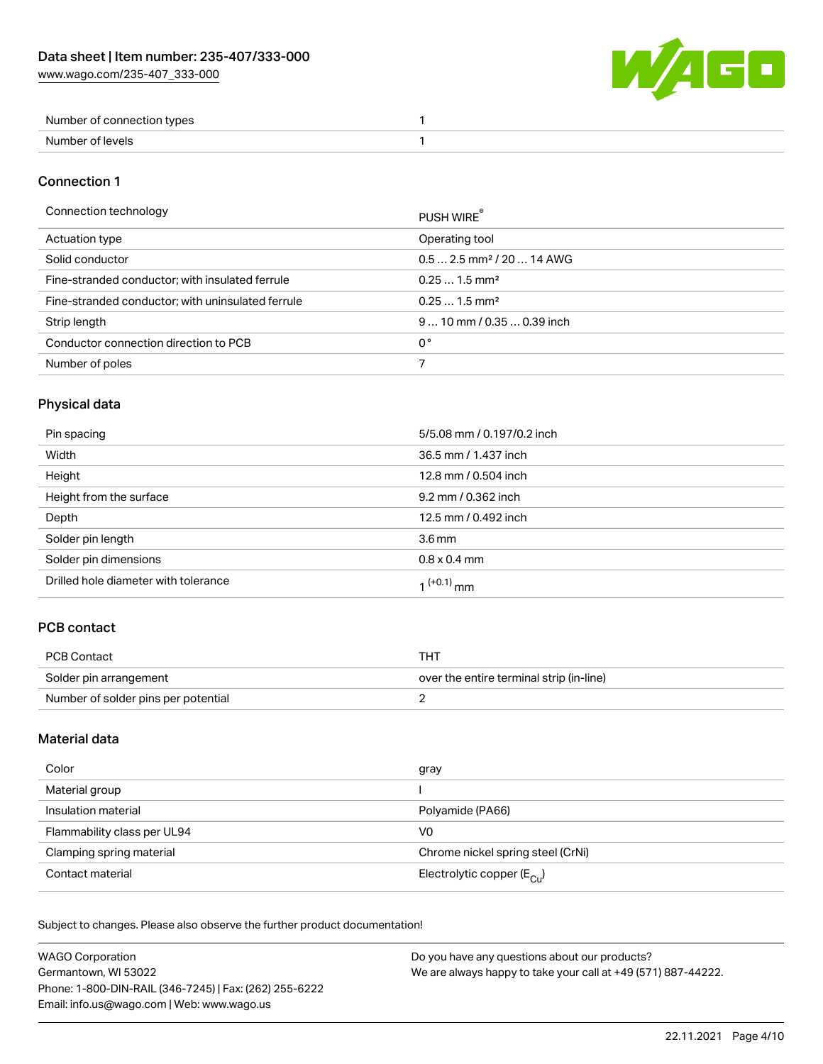[www.wago.com/235-407\\_333-000](http://www.wago.com/235-407_333-000)



| Number of connection types |  |
|----------------------------|--|
| Number of levels           |  |

#### Connection 1

#### Connection technology **PUSH WIRE®**

|                                                   | <b>PUSH WIRE</b>                       |
|---------------------------------------------------|----------------------------------------|
| Actuation type                                    | Operating tool                         |
| Solid conductor                                   | $0.5$ 2.5 mm <sup>2</sup> / 20  14 AWG |
| Fine-stranded conductor; with insulated ferrule   | $0.251.5$ mm <sup>2</sup>              |
| Fine-stranded conductor; with uninsulated ferrule | $0.251.5$ mm <sup>2</sup>              |
| Strip length                                      | $910$ mm / 0.35  0.39 inch             |
| Conductor connection direction to PCB             | 0°                                     |
| Number of poles                                   |                                        |
|                                                   |                                        |

# Physical data

| Pin spacing                          | 5/5.08 mm / 0.197/0.2 inch |
|--------------------------------------|----------------------------|
| Width                                | 36.5 mm / 1.437 inch       |
| Height                               | 12.8 mm / 0.504 inch       |
| Height from the surface              | 9.2 mm / 0.362 inch        |
| Depth                                | 12.5 mm / 0.492 inch       |
| Solder pin length                    | $3.6 \,\mathrm{mm}$        |
| Solder pin dimensions                | $0.8 \times 0.4$ mm        |
| Drilled hole diameter with tolerance | 1 <sup>(+0.1)</sup> mm     |

### PCB contact

| PCB Contact                         | тнт                                      |
|-------------------------------------|------------------------------------------|
| Solder pin arrangement              | over the entire terminal strip (in-line) |
| Number of solder pins per potential |                                          |

### Material data

| Color                       | gray                                    |
|-----------------------------|-----------------------------------------|
| Material group              |                                         |
| Insulation material         | Polyamide (PA66)                        |
| Flammability class per UL94 | V0                                      |
| Clamping spring material    | Chrome nickel spring steel (CrNi)       |
| Contact material            | Electrolytic copper ( $E_{\text{Cl}}$ ) |

Subject to changes. Please also observe the further product documentation!

| <b>WAGO Corporation</b>                                | Do you have any questions about our products?                 |
|--------------------------------------------------------|---------------------------------------------------------------|
| Germantown, WI 53022                                   | We are always happy to take your call at +49 (571) 887-44222. |
| Phone: 1-800-DIN-RAIL (346-7245)   Fax: (262) 255-6222 |                                                               |
| Email: info.us@wago.com   Web: www.wago.us             |                                                               |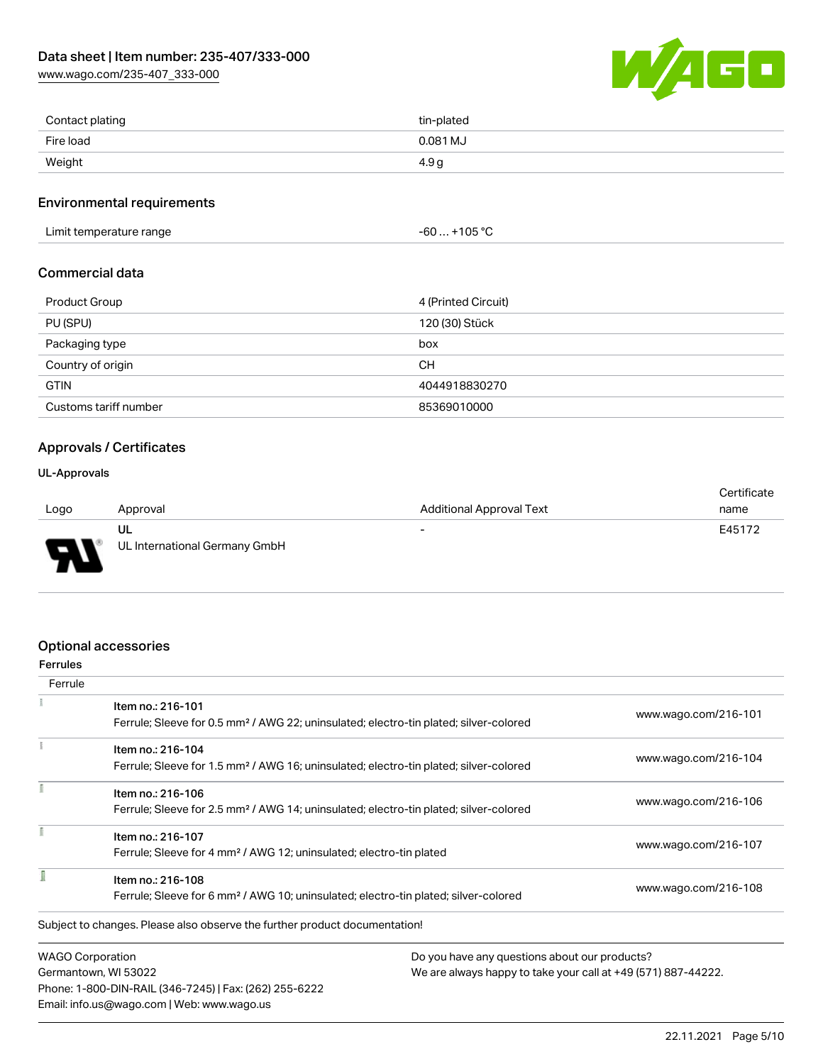[www.wago.com/235-407\\_333-000](http://www.wago.com/235-407_333-000)



| Contact plating | tin-plated       |
|-----------------|------------------|
| Fire load       | 0.081 MJ         |
| Weight          | 4.9 <sub>q</sub> |

#### Environmental requirements

Limit temperature range  $-60... +105$  °C

### Commercial data

| Product Group         | 4 (Printed Circuit) |
|-----------------------|---------------------|
| PU (SPU)              | 120 (30) Stück      |
| Packaging type        | box                 |
| Country of origin     | <b>CH</b>           |
| <b>GTIN</b>           | 4044918830270       |
| Customs tariff number | 85369010000         |

#### Approvals / Certificates

#### UL-Approvals

773

|                |                               |                                 | Certificate |
|----------------|-------------------------------|---------------------------------|-------------|
| Logo           | Approval                      | <b>Additional Approval Text</b> | name        |
|                | UL                            | $\overline{\phantom{0}}$        | E45172      |
| $\blacksquare$ | UL International Germany GmbH |                                 |             |

#### Optional accessories

Email: info.us@wago.com | Web: www.wago.us

| <b>Ferrules</b>         |                                                                                                                        |                                               |                                                               |  |
|-------------------------|------------------------------------------------------------------------------------------------------------------------|-----------------------------------------------|---------------------------------------------------------------|--|
| Ferrule                 |                                                                                                                        |                                               |                                                               |  |
|                         | Item no.: 216-101<br>Ferrule; Sleeve for 0.5 mm <sup>2</sup> / AWG 22; uninsulated; electro-tin plated; silver-colored |                                               | www.wago.com/216-101                                          |  |
|                         | Item no.: 216-104                                                                                                      |                                               | www.wago.com/216-104                                          |  |
|                         | Ferrule; Sleeve for 1.5 mm <sup>2</sup> / AWG 16; uninsulated; electro-tin plated; silver-colored                      |                                               |                                                               |  |
|                         | Item no.: 216-106                                                                                                      |                                               |                                                               |  |
|                         | Ferrule; Sleeve for 2.5 mm <sup>2</sup> / AWG 14; uninsulated; electro-tin plated; silver-colored                      |                                               | www.wago.com/216-106                                          |  |
|                         | Item no.: 216-107                                                                                                      |                                               |                                                               |  |
|                         | Ferrule; Sleeve for 4 mm <sup>2</sup> / AWG 12; uninsulated; electro-tin plated                                        |                                               | www.wago.com/216-107                                          |  |
|                         | Item no.: 216-108                                                                                                      |                                               |                                                               |  |
|                         | Ferrule; Sleeve for 6 mm <sup>2</sup> / AWG 10; uninsulated; electro-tin plated; silver-colored                        |                                               | www.wago.com/216-108                                          |  |
|                         | Subject to changes. Please also observe the further product documentation!                                             |                                               |                                                               |  |
| <b>WAGO Corporation</b> |                                                                                                                        | Do you have any questions about our products? |                                                               |  |
| Germantown, WI 53022    |                                                                                                                        |                                               | We are always happy to take your call at +49 (571) 887-44222. |  |
|                         | Phone: 1-800-DIN-RAIL (346-7245)   Fax: (262) 255-6222                                                                 |                                               |                                                               |  |

22.11.2021 Page 5/10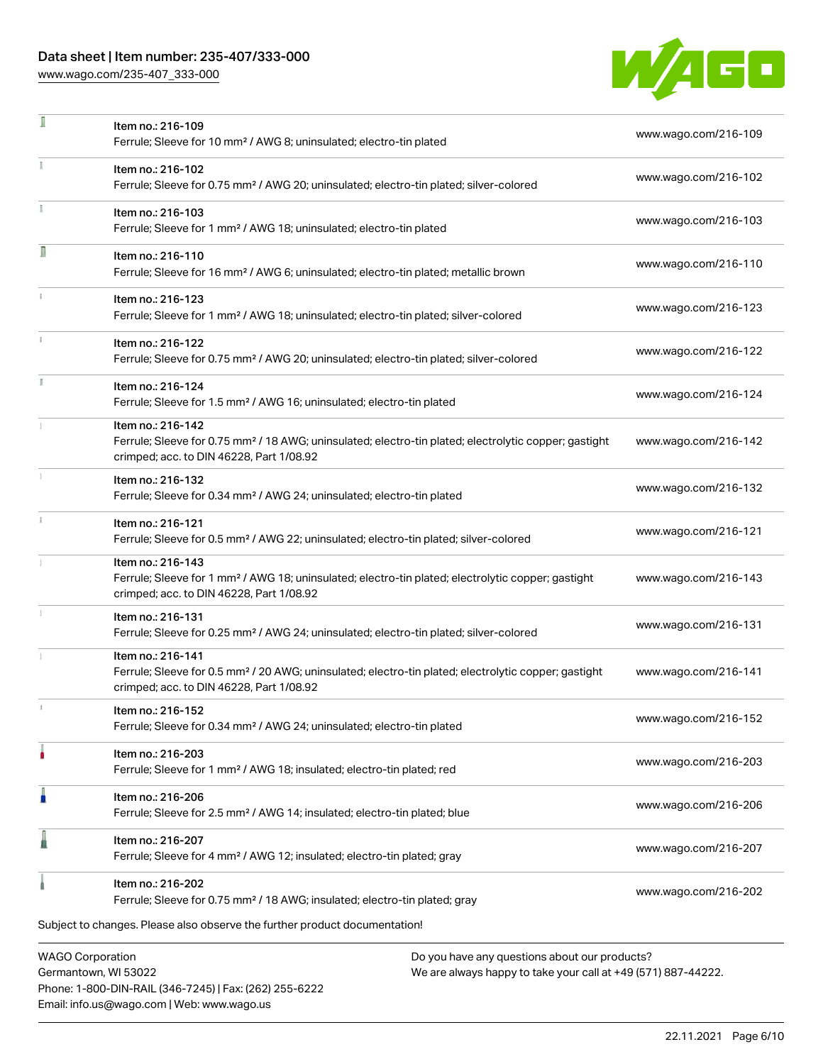Phone: 1-800-DIN-RAIL (346-7245) | Fax: (262) 255-6222

Email: info.us@wago.com | Web: www.wago.us

[www.wago.com/235-407\\_333-000](http://www.wago.com/235-407_333-000)

÷,



| ı | Item no.: 216-109<br>Ferrule; Sleeve for 10 mm <sup>2</sup> / AWG 8; uninsulated; electro-tin plated                                                                               |                                                                                                                | www.wago.com/216-109 |
|---|------------------------------------------------------------------------------------------------------------------------------------------------------------------------------------|----------------------------------------------------------------------------------------------------------------|----------------------|
|   | Item no.: 216-102<br>Ferrule; Sleeve for 0.75 mm <sup>2</sup> / AWG 20; uninsulated; electro-tin plated; silver-colored                                                            |                                                                                                                | www.wago.com/216-102 |
|   | Item no.: 216-103<br>Ferrule; Sleeve for 1 mm <sup>2</sup> / AWG 18; uninsulated; electro-tin plated                                                                               |                                                                                                                | www.wago.com/216-103 |
| Ω | Item no.: 216-110<br>Ferrule; Sleeve for 16 mm <sup>2</sup> / AWG 6; uninsulated; electro-tin plated; metallic brown                                                               |                                                                                                                | www.wago.com/216-110 |
|   | Item no.: 216-123<br>Ferrule; Sleeve for 1 mm <sup>2</sup> / AWG 18; uninsulated; electro-tin plated; silver-colored                                                               |                                                                                                                | www.wago.com/216-123 |
|   | Item no.: 216-122<br>Ferrule; Sleeve for 0.75 mm <sup>2</sup> / AWG 20; uninsulated; electro-tin plated; silver-colored                                                            |                                                                                                                | www.wago.com/216-122 |
|   | Item no.: 216-124<br>Ferrule; Sleeve for 1.5 mm <sup>2</sup> / AWG 16; uninsulated; electro-tin plated                                                                             |                                                                                                                | www.wago.com/216-124 |
|   | Item no.: 216-142<br>Ferrule; Sleeve for 0.75 mm <sup>2</sup> / 18 AWG; uninsulated; electro-tin plated; electrolytic copper; gastight<br>crimped; acc. to DIN 46228, Part 1/08.92 |                                                                                                                | www.wago.com/216-142 |
|   | Item no.: 216-132<br>Ferrule; Sleeve for 0.34 mm <sup>2</sup> / AWG 24; uninsulated; electro-tin plated                                                                            |                                                                                                                | www.wago.com/216-132 |
|   | Item no.: 216-121<br>Ferrule; Sleeve for 0.5 mm <sup>2</sup> / AWG 22; uninsulated; electro-tin plated; silver-colored                                                             |                                                                                                                | www.wago.com/216-121 |
|   | Item no.: 216-143<br>Ferrule; Sleeve for 1 mm <sup>2</sup> / AWG 18; uninsulated; electro-tin plated; electrolytic copper; gastight<br>crimped; acc. to DIN 46228, Part 1/08.92    |                                                                                                                | www.wago.com/216-143 |
|   | Item no.: 216-131<br>Ferrule; Sleeve for 0.25 mm <sup>2</sup> / AWG 24; uninsulated; electro-tin plated; silver-colored                                                            |                                                                                                                | www.wago.com/216-131 |
|   | Item no.: 216-141<br>Ferrule; Sleeve for 0.5 mm <sup>2</sup> / 20 AWG; uninsulated; electro-tin plated; electrolytic copper; gastight<br>crimped; acc. to DIN 46228, Part 1/08.92  |                                                                                                                | www.wago.com/216-141 |
|   | Item no.: 216-152<br>Ferrule; Sleeve for 0.34 mm <sup>2</sup> / AWG 24; uninsulated; electro-tin plated                                                                            |                                                                                                                | www.wago.com/216-152 |
|   | Item no.: 216-203<br>Ferrule; Sleeve for 1 mm <sup>2</sup> / AWG 18; insulated; electro-tin plated; red                                                                            |                                                                                                                | www.wago.com/216-203 |
|   | Item no.: 216-206<br>Ferrule; Sleeve for 2.5 mm <sup>2</sup> / AWG 14; insulated; electro-tin plated; blue                                                                         |                                                                                                                | www.wago.com/216-206 |
|   | Item no.: 216-207<br>Ferrule; Sleeve for 4 mm <sup>2</sup> / AWG 12; insulated; electro-tin plated; gray                                                                           |                                                                                                                | www.wago.com/216-207 |
|   | Item no.: 216-202<br>Ferrule; Sleeve for 0.75 mm <sup>2</sup> / 18 AWG; insulated; electro-tin plated; gray                                                                        |                                                                                                                | www.wago.com/216-202 |
|   | Subject to changes. Please also observe the further product documentation!                                                                                                         |                                                                                                                |                      |
|   | <b>WAGO Corporation</b><br>Germantown, WI 53022                                                                                                                                    | Do you have any questions about our products?<br>We are always happy to take your call at +49 (571) 887-44222. |                      |

22.11.2021 Page 6/10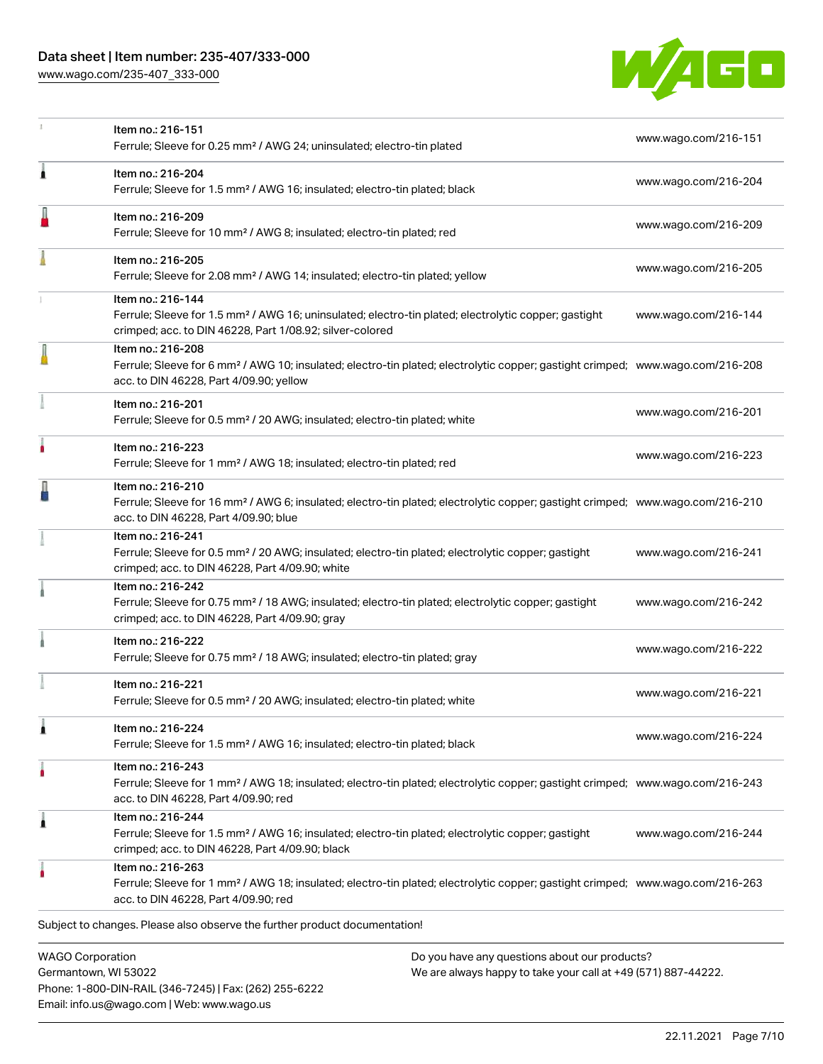[www.wago.com/235-407\\_333-000](http://www.wago.com/235-407_333-000)

Email: info.us@wago.com | Web: www.wago.us



|                                                 | Item no.: 216-151<br>Ferrule; Sleeve for 0.25 mm <sup>2</sup> / AWG 24; uninsulated; electro-tin plated                                                                                                    |                                                                                                                | www.wago.com/216-151 |
|-------------------------------------------------|------------------------------------------------------------------------------------------------------------------------------------------------------------------------------------------------------------|----------------------------------------------------------------------------------------------------------------|----------------------|
| A                                               | Item no.: 216-204<br>Ferrule; Sleeve for 1.5 mm <sup>2</sup> / AWG 16; insulated; electro-tin plated; black                                                                                                |                                                                                                                | www.wago.com/216-204 |
|                                                 | Item no.: 216-209<br>Ferrule; Sleeve for 10 mm <sup>2</sup> / AWG 8; insulated; electro-tin plated; red                                                                                                    |                                                                                                                | www.wago.com/216-209 |
|                                                 | Item no.: 216-205<br>Ferrule; Sleeve for 2.08 mm <sup>2</sup> / AWG 14; insulated; electro-tin plated; yellow                                                                                              |                                                                                                                | www.wago.com/216-205 |
|                                                 | Item no.: 216-144<br>Ferrule; Sleeve for 1.5 mm <sup>2</sup> / AWG 16; uninsulated; electro-tin plated; electrolytic copper; gastight<br>crimped; acc. to DIN 46228, Part 1/08.92; silver-colored          |                                                                                                                | www.wago.com/216-144 |
|                                                 | Item no.: 216-208<br>Ferrule; Sleeve for 6 mm <sup>2</sup> / AWG 10; insulated; electro-tin plated; electrolytic copper; gastight crimped; www.wago.com/216-208<br>acc. to DIN 46228, Part 4/09.90; yellow |                                                                                                                |                      |
|                                                 | Item no.: 216-201<br>Ferrule; Sleeve for 0.5 mm <sup>2</sup> / 20 AWG; insulated; electro-tin plated; white                                                                                                |                                                                                                                | www.wago.com/216-201 |
|                                                 | Item no.: 216-223<br>Ferrule; Sleeve for 1 mm <sup>2</sup> / AWG 18; insulated; electro-tin plated; red                                                                                                    |                                                                                                                | www.wago.com/216-223 |
|                                                 | Item no.: 216-210<br>Ferrule; Sleeve for 16 mm <sup>2</sup> / AWG 6; insulated; electro-tin plated; electrolytic copper; gastight crimped; www.wago.com/216-210<br>acc. to DIN 46228, Part 4/09.90; blue   |                                                                                                                |                      |
|                                                 | Item no.: 216-241<br>Ferrule; Sleeve for 0.5 mm <sup>2</sup> / 20 AWG; insulated; electro-tin plated; electrolytic copper; gastight<br>crimped; acc. to DIN 46228, Part 4/09.90; white                     |                                                                                                                | www.wago.com/216-241 |
|                                                 | Item no.: 216-242<br>Ferrule; Sleeve for 0.75 mm <sup>2</sup> / 18 AWG; insulated; electro-tin plated; electrolytic copper; gastight<br>crimped; acc. to DIN 46228, Part 4/09.90; gray                     |                                                                                                                | www.wago.com/216-242 |
|                                                 | Item no.: 216-222<br>Ferrule; Sleeve for 0.75 mm <sup>2</sup> / 18 AWG; insulated; electro-tin plated; gray                                                                                                |                                                                                                                | www.wago.com/216-222 |
|                                                 | Item no.: 216-221<br>Ferrule; Sleeve for 0.5 mm <sup>2</sup> / 20 AWG; insulated; electro-tin plated; white                                                                                                |                                                                                                                | www.wago.com/216-221 |
|                                                 | Item no.: 216-224<br>Ferrule; Sleeve for 1.5 mm <sup>2</sup> / AWG 16; insulated; electro-tin plated; black                                                                                                |                                                                                                                | www.wago.com/216-224 |
|                                                 | Item no.: 216-243<br>Ferrule; Sleeve for 1 mm <sup>2</sup> / AWG 18; insulated; electro-tin plated; electrolytic copper; gastight crimped; www.wago.com/216-243<br>acc. to DIN 46228, Part 4/09.90; red    |                                                                                                                |                      |
| 1                                               | Item no.: 216-244<br>Ferrule; Sleeve for 1.5 mm <sup>2</sup> / AWG 16; insulated; electro-tin plated; electrolytic copper; gastight<br>crimped; acc. to DIN 46228, Part 4/09.90; black                     |                                                                                                                | www.wago.com/216-244 |
|                                                 | Item no.: 216-263<br>Ferrule; Sleeve for 1 mm <sup>2</sup> / AWG 18; insulated; electro-tin plated; electrolytic copper; gastight crimped; www.wago.com/216-263<br>acc. to DIN 46228, Part 4/09.90; red    |                                                                                                                |                      |
|                                                 | Subject to changes. Please also observe the further product documentation!                                                                                                                                 |                                                                                                                |                      |
| <b>WAGO Corporation</b><br>Germantown, WI 53022 | Phone: 1-800-DIN-RAIL (346-7245)   Fax: (262) 255-6222                                                                                                                                                     | Do you have any questions about our products?<br>We are always happy to take your call at +49 (571) 887-44222. |                      |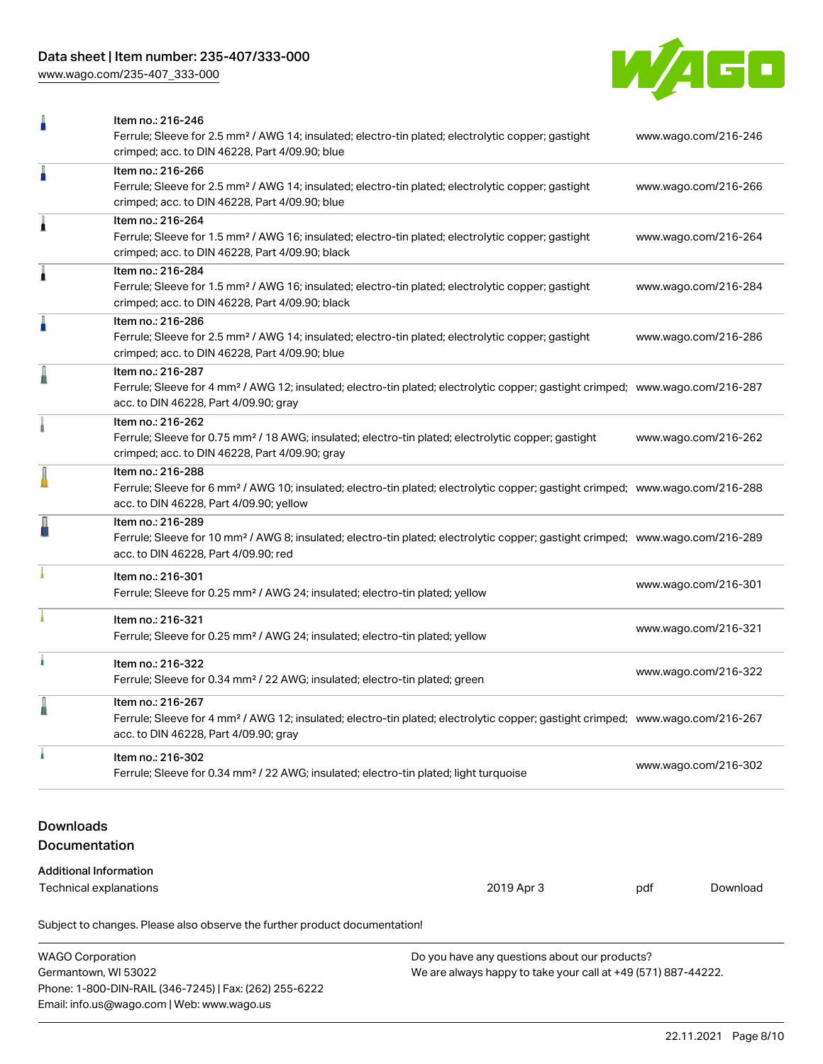[www.wago.com/235-407\\_333-000](http://www.wago.com/235-407_333-000)



|                                                                | Item no.: 216-246<br>Ferrule; Sleeve for 2.5 mm <sup>2</sup> / AWG 14; insulated; electro-tin plated; electrolytic copper; gastight<br>crimped; acc. to DIN 46228, Part 4/09.90; blue                      | www.wago.com/216-246 |          |
|----------------------------------------------------------------|------------------------------------------------------------------------------------------------------------------------------------------------------------------------------------------------------------|----------------------|----------|
| Ä                                                              | Item no.: 216-266<br>Ferrule; Sleeve for 2.5 mm <sup>2</sup> / AWG 14; insulated; electro-tin plated; electrolytic copper; gastight<br>crimped; acc. to DIN 46228, Part 4/09.90; blue                      | www.wago.com/216-266 |          |
| 1                                                              | Item no.: 216-264<br>Ferrule; Sleeve for 1.5 mm <sup>2</sup> / AWG 16; insulated; electro-tin plated; electrolytic copper; gastight<br>crimped; acc. to DIN 46228, Part 4/09.90; black                     | www.wago.com/216-264 |          |
| 1                                                              | Item no.: 216-284<br>Ferrule; Sleeve for 1.5 mm <sup>2</sup> / AWG 16; insulated; electro-tin plated; electrolytic copper; gastight<br>crimped; acc. to DIN 46228, Part 4/09.90; black                     | www.wago.com/216-284 |          |
| ä                                                              | Item no.: 216-286<br>Ferrule; Sleeve for 2.5 mm <sup>2</sup> / AWG 14; insulated; electro-tin plated; electrolytic copper; gastight<br>crimped; acc. to DIN 46228, Part 4/09.90; blue                      | www.wago.com/216-286 |          |
|                                                                | Item no.: 216-287<br>Ferrule; Sleeve for 4 mm <sup>2</sup> / AWG 12; insulated; electro-tin plated; electrolytic copper; gastight crimped; www.wago.com/216-287<br>acc. to DIN 46228, Part 4/09.90; gray   |                      |          |
|                                                                | Item no.: 216-262<br>Ferrule; Sleeve for 0.75 mm <sup>2</sup> / 18 AWG; insulated; electro-tin plated; electrolytic copper; gastight<br>crimped; acc. to DIN 46228, Part 4/09.90; gray                     | www.wago.com/216-262 |          |
|                                                                | Item no.: 216-288<br>Ferrule; Sleeve for 6 mm <sup>2</sup> / AWG 10; insulated; electro-tin plated; electrolytic copper; gastight crimped; www.wago.com/216-288<br>acc. to DIN 46228, Part 4/09.90; yellow |                      |          |
|                                                                | Item no.: 216-289<br>Ferrule; Sleeve for 10 mm <sup>2</sup> / AWG 8; insulated; electro-tin plated; electrolytic copper; gastight crimped; www.wago.com/216-289<br>acc. to DIN 46228, Part 4/09.90; red    |                      |          |
|                                                                | Item no.: 216-301<br>Ferrule; Sleeve for 0.25 mm <sup>2</sup> / AWG 24; insulated; electro-tin plated; yellow                                                                                              | www.wago.com/216-301 |          |
|                                                                | Item no.: 216-321<br>Ferrule; Sleeve for 0.25 mm <sup>2</sup> / AWG 24; insulated; electro-tin plated; yellow                                                                                              | www.wago.com/216-321 |          |
| ۸                                                              | Item no.: 216-322<br>Ferrule; Sleeve for 0.34 mm <sup>2</sup> / 22 AWG; insulated; electro-tin plated; green                                                                                               | www.wago.com/216-322 |          |
|                                                                | Item no.: 216-267<br>Ferrule; Sleeve for 4 mm <sup>2</sup> / AWG 12; insulated; electro-tin plated; electrolytic copper; gastight crimped; www.wago.com/216-267<br>acc. to DIN 46228, Part 4/09.90; gray   |                      |          |
|                                                                | Item no.: 216-302<br>Ferrule; Sleeve for 0.34 mm <sup>2</sup> / 22 AWG; insulated; electro-tin plated; light turquoise                                                                                     | www.wago.com/216-302 |          |
| <b>Downloads</b><br>Documentation                              |                                                                                                                                                                                                            |                      |          |
| <b>Additional Information</b><br><b>Technical explanations</b> | 2019 Apr 3                                                                                                                                                                                                 | pdf                  | Download |
|                                                                |                                                                                                                                                                                                            |                      |          |
|                                                                | Subject to changes. Please also observe the further product documentation!                                                                                                                                 |                      |          |

WAGO Corporation Germantown, WI 53022 Phone: 1-800-DIN-RAIL (346-7245) | Fax: (262) 255-6222 Email: info.us@wago.com | Web: www.wago.us Do you have any questions about our products? We are always happy to take your call at +49 (571) 887-44222.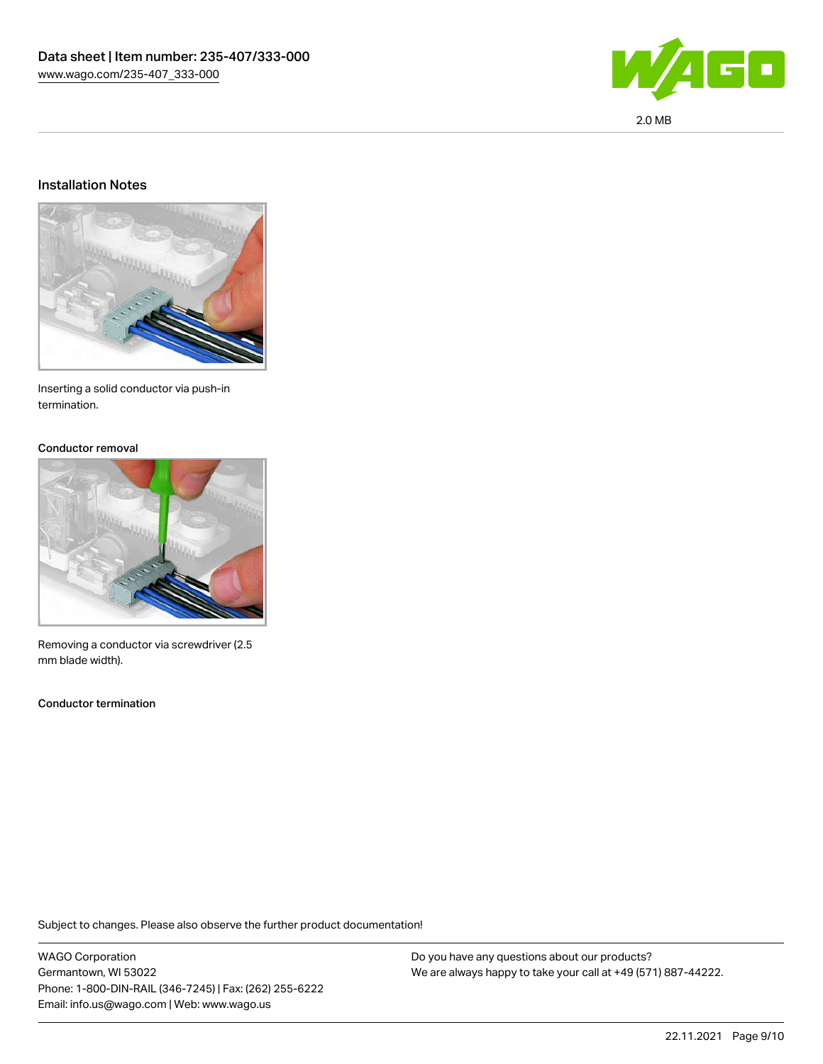

#### Installation Notes



Inserting a solid conductor via push-in termination.

#### Conductor removal



Removing a conductor via screwdriver (2.5 mm blade width).

Conductor termination

Subject to changes. Please also observe the further product documentation!

WAGO Corporation Germantown, WI 53022 Phone: 1-800-DIN-RAIL (346-7245) | Fax: (262) 255-6222 Email: info.us@wago.com | Web: www.wago.us